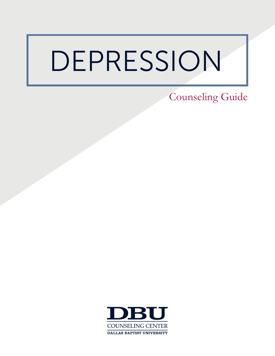# DEPRESSION

Counseling Guide

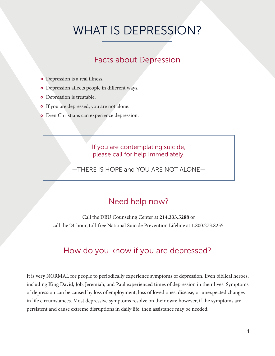# WHAT IS DEPRESSION?

### Facts about Depression

- Depression is a real illness.
- Depression affects people in different ways.
- **o** Depression is treatable.
- If you are depressed, you are not alone.
- Even Christians can experience depression.

#### If you are contemplating suicide, please call for help immediately.

—THERE IS HOPE and YOU ARE NOT ALONE—

### Need help now?

Call the DBU Counseling Center at **214.333.5288** or call the 24-hour, toll-free National Suicide Prevention Lifeline at 1.800.273.8255.

### How do you know if you are depressed?

It is very NORMAL for people to periodically experience symptoms of depression. Even biblical heroes, including King David, Job, Jeremiah, and Paul experienced times of depression in their lives. Symptoms of depression can be caused by loss of employment, loss of loved ones, disease, or unexpected changes in life circumstances. Most depressive symptoms resolve on their own; however, if the symptoms are persistent and cause extreme disruptions in daily life, then assistance may be needed.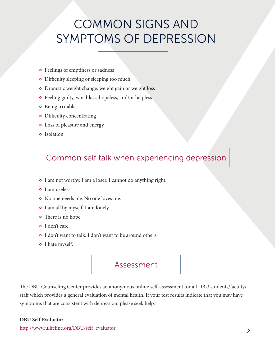# COMMON SIGNS AND SYMPTOMS OF DEPRESSION

- Feelings of emptiness or sadness
- Difficulty sleeping or sleeping too much
- Dramatic weight change: weight gain or weight loss
- Feeling guilty, worthless, hopeless, and/or helpless
- **o** Being irritable
- Difficulty concentrating
- Loss of pleasure and energy
- **o** Isolation

### Common self talk when experiencing depression

- I am not worthy. I am a loser. I cannot do anything right.
- **o** I am useless.
- No one needs me. No one loves me.
- I am all by myself. I am lonely.
- There is no hope.
- o I don't care.
- I don't want to talk. I don't want to be around others.
- o I hate myself.

#### Assessment

The DBU Counseling Center provides an anonymous online self-assessment for all DBU students/faculty/ staff which provides a general evaluation of mental health. If your test results indicate that you may have symptoms that are consistent with depression, please seek help.

#### **DBU Self Evaluator**

http://www.ulifeline.org/DBU/self\_evaluator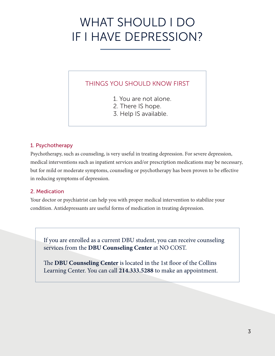# WHAT SHOULD I DO IF I HAVE DEPRESSION?

#### THINGS YOU SHOULD KNOW FIRST

- 1. You are not alone.
- 2. There IS hope.
- 3. Help IS available.

#### 1. Psychotherapy

Psychotherapy, such as counseling, is very useful in treating depression. For severe depression, medical interventions such as inpatient services and/or prescription medications may be necessary, but for mild or moderate symptoms, counseling or psychotherapy has been proven to be effective in reducing symptoms of depression.

#### 2. Medication

Your doctor or psychiatrist can help you with proper medical intervention to stabilize your condition. Antidepressants are useful forms of medication in treating depression.

If you are enrolled as a current DBU student, you can receive counseling services from the **DBU Counseling Center** at NO COST.

The **DBU Counseling Center** is located in the 1st floor of the Collins Learning Center. You can call **214.333.5288** to make an appointment.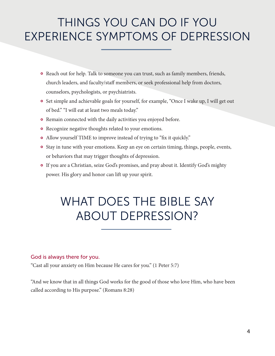# THINGS YOU CAN DO IF YOU EXPERIENCE SYMPTOMS OF DEPRESSION

- Reach out for help. Talk to someone you can trust, such as family members, friends, church leaders, and faculty/staff members, or seek professional help from doctors, counselors, psychologists, or psychiatrists.
- **o** Set simple and achievable goals for yourself, for example, "Once I wake up, I will get out of bed." "I will eat at least two meals today."
- Remain connected with the daily activities you enjoyed before.
- **o** Recognize negative thoughts related to your emotions.
- Allow yourself TIME to improve instead of trying to "fix it quickly."
- <sup>o</sup> Stay in tune with your emotions. Keep an eye on certain timing, things, people, events, or behaviors that may trigger thoughts of depression.
- If you are a Christian, seize God's promises, and pray about it. Identify God's mighty power. His glory and honor can lift up your spirit.

# WHAT DOES THE BIBLE SAY ABOUT DEPRESSION?

#### God is always there for you.

"Cast all your anxiety on Him because He cares for you." (1 Peter 5:7)

"And we know that in all things God works for the good of those who love Him, who have been called according to His purpose." (Romans 8:28)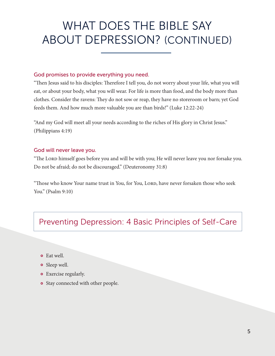# WHAT DOES THE BIBLE SAY ABOUT DEPRESSION? (CONTINUED)

#### God promises to provide everything you need.

"Then Jesus said to his disciples: Therefore I tell you, do not worry about your life, what you will eat, or about your body, what you will wear. For life is more than food, and the body more than clothes. Consider the ravens: They do not sow or reap, they have no storeroom or barn; yet God feeds them. And how much more valuable you are than birds!" (Luke 12:22-24)

"And my God will meet all your needs according to the riches of His glory in Christ Jesus." (Philippians 4:19)

#### God will never leave you.

"The Lord himself goes before you and will be with you; He will never leave you nor forsake you. Do not be afraid; do not be discouraged." (Deuteronomy 31:8)

"Those who know Your name trust in You, for You, Lord, have never forsaken those who seek You." (Psalm 9:10)

### Preventing Depression: 4 Basic Principles of Self-Care

- Eat well.
- **o** Sleep well.
- Exercise regularly.
- **o** Stay connected with other people.